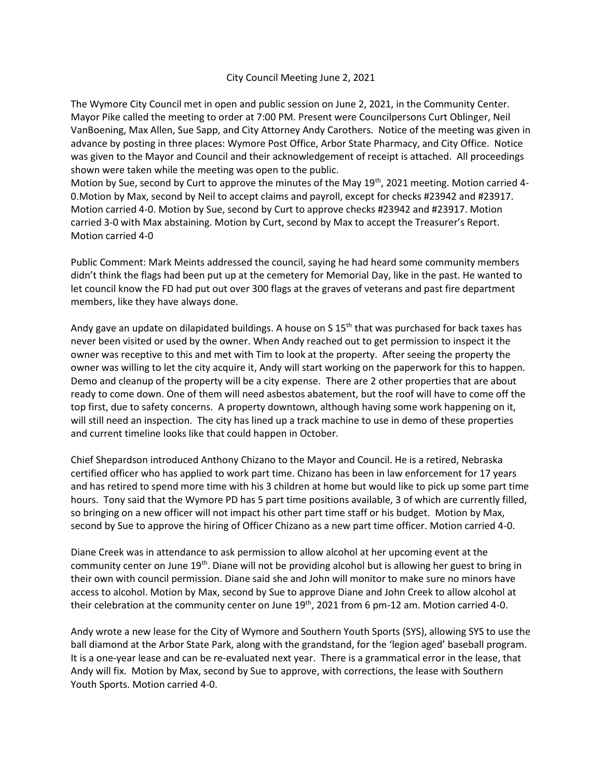## City Council Meeting June 2, 2021

The Wymore City Council met in open and public session on June 2, 2021, in the Community Center. Mayor Pike called the meeting to order at 7:00 PM. Present were Councilpersons Curt Oblinger, Neil VanBoening, Max Allen, Sue Sapp, and City Attorney Andy Carothers. Notice of the meeting was given in advance by posting in three places: Wymore Post Office, Arbor State Pharmacy, and City Office. Notice was given to the Mayor and Council and their acknowledgement of receipt is attached. All proceedings shown were taken while the meeting was open to the public.

Motion by Sue, second by Curt to approve the minutes of the May 19<sup>th</sup>, 2021 meeting. Motion carried 4-0.Motion by Max, second by Neil to accept claims and payroll, except for checks #23942 and #23917. Motion carried 4-0. Motion by Sue, second by Curt to approve checks #23942 and #23917. Motion carried 3-0 with Max abstaining. Motion by Curt, second by Max to accept the Treasurer's Report. Motion carried 4-0

Public Comment: Mark Meints addressed the council, saying he had heard some community members didn't think the flags had been put up at the cemetery for Memorial Day, like in the past. He wanted to let council know the FD had put out over 300 flags at the graves of veterans and past fire department members, like they have always done.

Andy gave an update on dilapidated buildings. A house on S  $15<sup>th</sup>$  that was purchased for back taxes has never been visited or used by the owner. When Andy reached out to get permission to inspect it the owner was receptive to this and met with Tim to look at the property. After seeing the property the owner was willing to let the city acquire it, Andy will start working on the paperwork for this to happen. Demo and cleanup of the property will be a city expense. There are 2 other properties that are about ready to come down. One of them will need asbestos abatement, but the roof will have to come off the top first, due to safety concerns. A property downtown, although having some work happening on it, will still need an inspection. The city has lined up a track machine to use in demo of these properties and current timeline looks like that could happen in October.

Chief Shepardson introduced Anthony Chizano to the Mayor and Council. He is a retired, Nebraska certified officer who has applied to work part time. Chizano has been in law enforcement for 17 years and has retired to spend more time with his 3 children at home but would like to pick up some part time hours. Tony said that the Wymore PD has 5 part time positions available, 3 of which are currently filled, so bringing on a new officer will not impact his other part time staff or his budget. Motion by Max, second by Sue to approve the hiring of Officer Chizano as a new part time officer. Motion carried 4-0.

Diane Creek was in attendance to ask permission to allow alcohol at her upcoming event at the community center on June 19<sup>th</sup>. Diane will not be providing alcohol but is allowing her guest to bring in their own with council permission. Diane said she and John will monitor to make sure no minors have access to alcohol. Motion by Max, second by Sue to approve Diane and John Creek to allow alcohol at their celebration at the community center on June 19<sup>th</sup>, 2021 from 6 pm-12 am. Motion carried 4-0.

Andy wrote a new lease for the City of Wymore and Southern Youth Sports (SYS), allowing SYS to use the ball diamond at the Arbor State Park, along with the grandstand, for the 'legion aged' baseball program. It is a one-year lease and can be re-evaluated next year. There is a grammatical error in the lease, that Andy will fix. Motion by Max, second by Sue to approve, with corrections, the lease with Southern Youth Sports. Motion carried 4-0.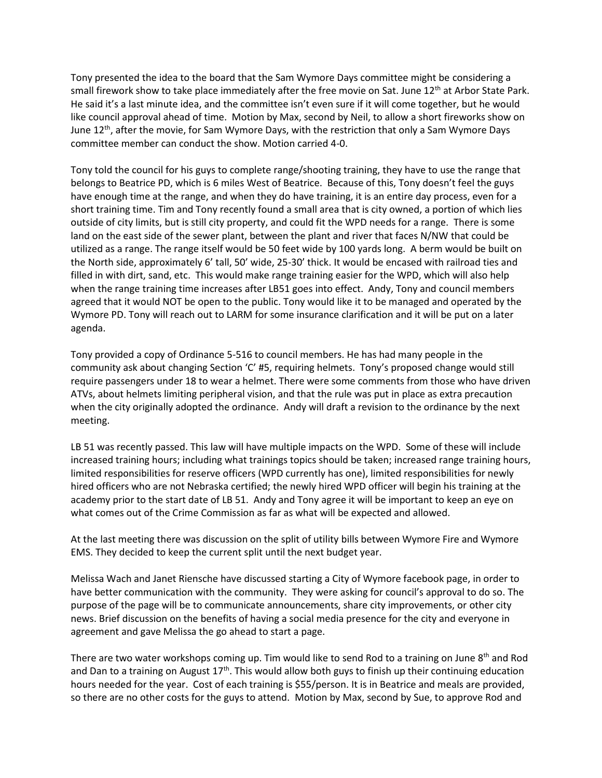Tony presented the idea to the board that the Sam Wymore Days committee might be considering a small firework show to take place immediately after the free movie on Sat. June 12<sup>th</sup> at Arbor State Park. He said it's a last minute idea, and the committee isn't even sure if it will come together, but he would like council approval ahead of time. Motion by Max, second by Neil, to allow a short fireworks show on June  $12<sup>th</sup>$ , after the movie, for Sam Wymore Days, with the restriction that only a Sam Wymore Days committee member can conduct the show. Motion carried 4-0.

Tony told the council for his guys to complete range/shooting training, they have to use the range that belongs to Beatrice PD, which is 6 miles West of Beatrice. Because of this, Tony doesn't feel the guys have enough time at the range, and when they do have training, it is an entire day process, even for a short training time. Tim and Tony recently found a small area that is city owned, a portion of which lies outside of city limits, but is still city property, and could fit the WPD needs for a range. There is some land on the east side of the sewer plant, between the plant and river that faces N/NW that could be utilized as a range. The range itself would be 50 feet wide by 100 yards long. A berm would be built on the North side, approximately 6' tall, 50' wide, 25-30' thick. It would be encased with railroad ties and filled in with dirt, sand, etc. This would make range training easier for the WPD, which will also help when the range training time increases after LB51 goes into effect. Andy, Tony and council members agreed that it would NOT be open to the public. Tony would like it to be managed and operated by the Wymore PD. Tony will reach out to LARM for some insurance clarification and it will be put on a later agenda.

Tony provided a copy of Ordinance 5-516 to council members. He has had many people in the community ask about changing Section 'C' #5, requiring helmets. Tony's proposed change would still require passengers under 18 to wear a helmet. There were some comments from those who have driven ATVs, about helmets limiting peripheral vision, and that the rule was put in place as extra precaution when the city originally adopted the ordinance. Andy will draft a revision to the ordinance by the next meeting.

LB 51 was recently passed. This law will have multiple impacts on the WPD. Some of these will include increased training hours; including what trainings topics should be taken; increased range training hours, limited responsibilities for reserve officers (WPD currently has one), limited responsibilities for newly hired officers who are not Nebraska certified; the newly hired WPD officer will begin his training at the academy prior to the start date of LB 51. Andy and Tony agree it will be important to keep an eye on what comes out of the Crime Commission as far as what will be expected and allowed.

At the last meeting there was discussion on the split of utility bills between Wymore Fire and Wymore EMS. They decided to keep the current split until the next budget year.

Melissa Wach and Janet Riensche have discussed starting a City of Wymore facebook page, in order to have better communication with the community. They were asking for council's approval to do so. The purpose of the page will be to communicate announcements, share city improvements, or other city news. Brief discussion on the benefits of having a social media presence for the city and everyone in agreement and gave Melissa the go ahead to start a page.

There are two water workshops coming up. Tim would like to send Rod to a training on June  $8<sup>th</sup>$  and Rod and Dan to a training on August 17<sup>th</sup>. This would allow both guys to finish up their continuing education hours needed for the year. Cost of each training is \$55/person. It is in Beatrice and meals are provided, so there are no other costs for the guys to attend. Motion by Max, second by Sue, to approve Rod and